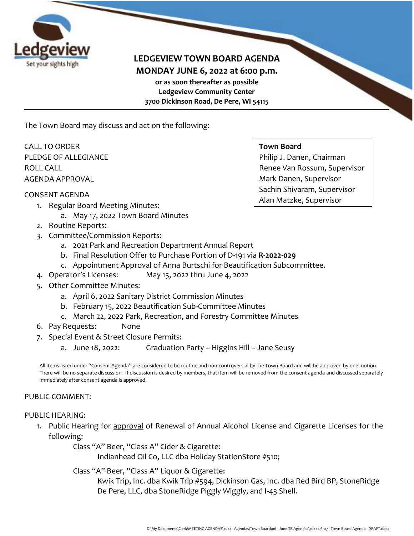

## **LEDGEVIEW TOWN BOARD AGENDA MONDAY JUNE 6, 2022 at 6:00 p.m. or as soon thereafter as possible Ledgeview Community Center 3700 Dickinson Road, De Pere, WI 54115**

The Town Board may discuss and act on the following:

CALL TO ORDER PLEDGE OF ALLEGIANCE ROLL CALL AGENDA APPROVAL

#### CONSENT AGENDA

- 1. Regular Board Meeting Minutes:
	- a. May 17, 2022 Town Board Minutes
- 2. Routine Reports:
- 3. Committee/Commission Reports:
	- a. 2021 Park and Recreation Department Annual Report
	- b. Final Resolution Offer to Purchase Portion of D-191 via **R-2022-029**
	- c. Appointment Approval of Anna Burtschi for Beautification Subcommittee.
- 4. Operator's Licenses: May 15, 2022 thru June 4, 2022
- 5. Other Committee Minutes:
	- a. April 6, 2022 Sanitary District Commission Minutes
	- b. February 15, 2022 Beautification Sub-Committee Minutes
	- c. March 22, 2022 Park, Recreation, and Forestry Committee Minutes
- 6. Pay Requests: None
- 7. Special Event & Street Closure Permits:
	- a. June 18, 2022: Graduation Party Higgins Hill Jane Seusy

All items listed under "Consent Agenda" are considered to be routine and non-controversial by the Town Board and will be approved by one motion. There will be no separate discussion. If discussion is desired by members, that item will be removed from the consent agenda and discussed separately immediately after consent agenda is approved.

#### PUBLIC COMMENT:

#### PUBLIC HEARING:

1. Public Hearing for approval of Renewal of Annual Alcohol License and Cigarette Licenses for the following:

Class "A" Beer, "Class A" Cider & Cigarette:

Indianhead Oil Co, LLC dba Holiday StationStore #510;

Class "A" Beer, "Class A" Liquor & Cigarette:

Kwik Trip, Inc. dba Kwik Trip #594, Dickinson Gas, Inc. dba Red Bird BP, StoneRidge De Pere, LLC, dba StoneRidge Piggly Wiggly, and I-43 Shell.

#### **Town Board**

Philip J. Danen, Chairman Renee Van Rossum, Supervisor Mark Danen, Supervisor Sachin Shivaram, Supervisor Alan Matzke, Supervisor